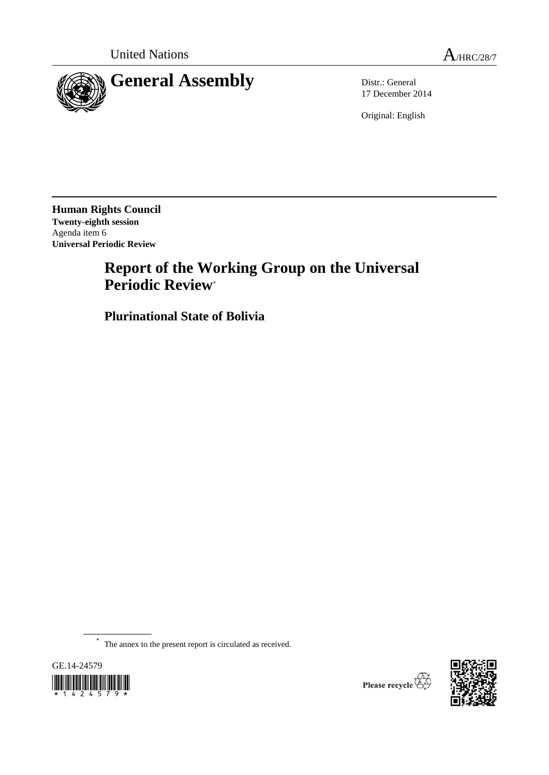



17 December 2014

Original: English

**Human Rights Council Twenty-eighth session** Agenda item 6 **Universal Periodic Review**

# **Report of the Working Group on the Universal Periodic Review**\*

**Plurinational State of Bolivia**

\* The annex to the present report is circulated as received.





Please recycle  $\overleftrightarrow{C}$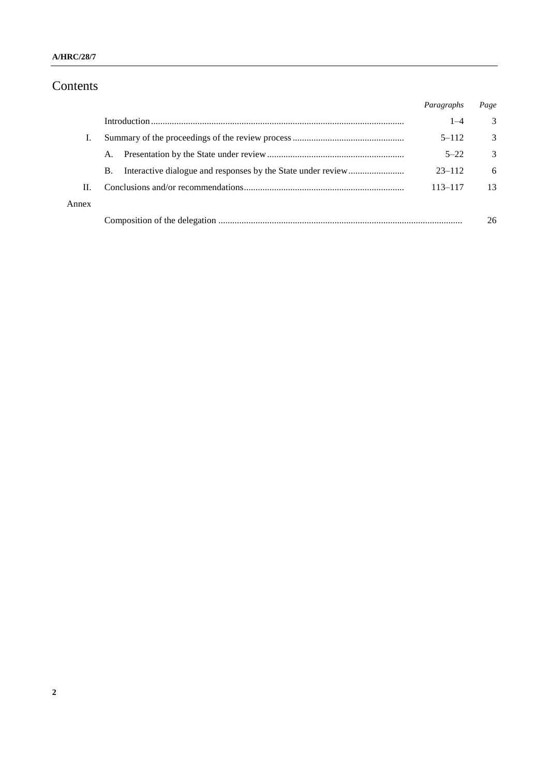# Contents

|       |           | Paragraphs  | Page          |
|-------|-----------|-------------|---------------|
|       |           | $1 - 4$     | 3             |
| Ι.    |           | $5 - 112$   | 3             |
|       | A.        | $5 - 22$    | $\mathcal{R}$ |
|       | <b>B.</b> | $23 - 112$  | 6             |
| H.    |           | $113 - 117$ | 13            |
| Annex |           |             |               |
|       |           |             | 26            |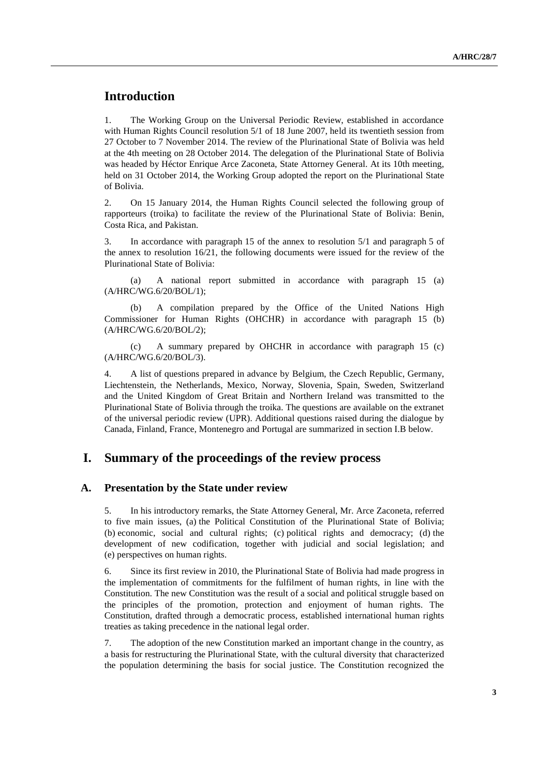### **Introduction**

1. The Working Group on the Universal Periodic Review, established in accordance with Human Rights Council resolution 5/1 of 18 June 2007, held its twentieth session from 27 October to 7 November 2014. The review of the Plurinational State of Bolivia was held at the 4th meeting on 28 October 2014. The delegation of the Plurinational State of Bolivia was headed by Héctor Enrique Arce Zaconeta, State Attorney General. At its 10th meeting, held on 31 October 2014, the Working Group adopted the report on the Plurinational State of Bolivia.

2. On 15 January 2014, the Human Rights Council selected the following group of rapporteurs (troika) to facilitate the review of the Plurinational State of Bolivia: Benin, Costa Rica, and Pakistan.

3. In accordance with paragraph 15 of the annex to resolution 5/1 and paragraph 5 of the annex to resolution  $16/21$ , the following documents were issued for the review of the Plurinational State of Bolivia:

(a) A national report submitted in accordance with paragraph 15 (a) (A/HRC/WG.6/20/BOL/1);

(b) A compilation prepared by the Office of the United Nations High Commissioner for Human Rights (OHCHR) in accordance with paragraph 15 (b) (A/HRC/WG.6/20/BOL/2);

(c) A summary prepared by OHCHR in accordance with paragraph 15 (c) (A/HRC/WG.6/20/BOL/3).

4. A list of questions prepared in advance by Belgium, the Czech Republic, Germany, Liechtenstein, the Netherlands, Mexico, Norway, Slovenia, Spain, Sweden, Switzerland and the United Kingdom of Great Britain and Northern Ireland was transmitted to the Plurinational State of Bolivia through the troika. The questions are available on the extranet of the universal periodic review (UPR). Additional questions raised during the dialogue by Canada, Finland, France, Montenegro and Portugal are summarized in section I.B below.

### **I. Summary of the proceedings of the review process**

#### **A. Presentation by the State under review**

5. In his introductory remarks, the State Attorney General, Mr. Arce Zaconeta, referred to five main issues, (a) the Political Constitution of the Plurinational State of Bolivia; (b) economic, social and cultural rights; (c) political rights and democracy; (d) the development of new codification, together with judicial and social legislation; and (e) perspectives on human rights.

6. Since its first review in 2010, the Plurinational State of Bolivia had made progress in the implementation of commitments for the fulfilment of human rights, in line with the Constitution. The new Constitution was the result of a social and political struggle based on the principles of the promotion, protection and enjoyment of human rights. The Constitution, drafted through a democratic process, established international human rights treaties as taking precedence in the national legal order.

7. The adoption of the new Constitution marked an important change in the country, as a basis for restructuring the Plurinational State, with the cultural diversity that characterized the population determining the basis for social justice. The Constitution recognized the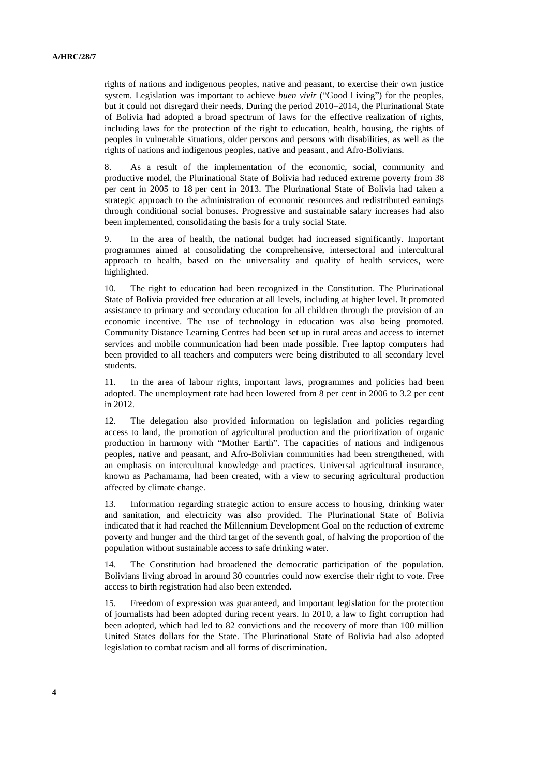rights of nations and indigenous peoples, native and peasant, to exercise their own justice system. Legislation was important to achieve *buen vivir* ("Good Living") for the peoples, but it could not disregard their needs. During the period 2010–2014, the Plurinational State of Bolivia had adopted a broad spectrum of laws for the effective realization of rights, including laws for the protection of the right to education, health, housing, the rights of peoples in vulnerable situations, older persons and persons with disabilities, as well as the rights of nations and indigenous peoples, native and peasant, and Afro-Bolivians.

8. As a result of the implementation of the economic, social, community and productive model, the Plurinational State of Bolivia had reduced extreme poverty from 38 per cent in 2005 to 18 per cent in 2013. The Plurinational State of Bolivia had taken a strategic approach to the administration of economic resources and redistributed earnings through conditional social bonuses. Progressive and sustainable salary increases had also been implemented, consolidating the basis for a truly social State.

9. In the area of health, the national budget had increased significantly. Important programmes aimed at consolidating the comprehensive, intersectoral and intercultural approach to health, based on the universality and quality of health services, were highlighted.

10. The right to education had been recognized in the Constitution. The Plurinational State of Bolivia provided free education at all levels, including at higher level. It promoted assistance to primary and secondary education for all children through the provision of an economic incentive. The use of technology in education was also being promoted. Community Distance Learning Centres had been set up in rural areas and access to internet services and mobile communication had been made possible. Free laptop computers had been provided to all teachers and computers were being distributed to all secondary level students.

11. In the area of labour rights, important laws, programmes and policies had been adopted. The unemployment rate had been lowered from 8 per cent in 2006 to 3.2 per cent in 2012.

12. The delegation also provided information on legislation and policies regarding access to land, the promotion of agricultural production and the prioritization of organic production in harmony with "Mother Earth". The capacities of nations and indigenous peoples, native and peasant, and Afro-Bolivian communities had been strengthened, with an emphasis on intercultural knowledge and practices. Universal agricultural insurance, known as Pachamama, had been created, with a view to securing agricultural production affected by climate change.

13. Information regarding strategic action to ensure access to housing, drinking water and sanitation, and electricity was also provided. The Plurinational State of Bolivia indicated that it had reached the Millennium Development Goal on the reduction of extreme poverty and hunger and the third target of the seventh goal, of halving the proportion of the population without sustainable access to safe drinking water.

14. The Constitution had broadened the democratic participation of the population. Bolivians living abroad in around 30 countries could now exercise their right to vote. Free access to birth registration had also been extended.

15. Freedom of expression was guaranteed, and important legislation for the protection of journalists had been adopted during recent years. In 2010, a law to fight corruption had been adopted, which had led to 82 convictions and the recovery of more than 100 million United States dollars for the State. The Plurinational State of Bolivia had also adopted legislation to combat racism and all forms of discrimination.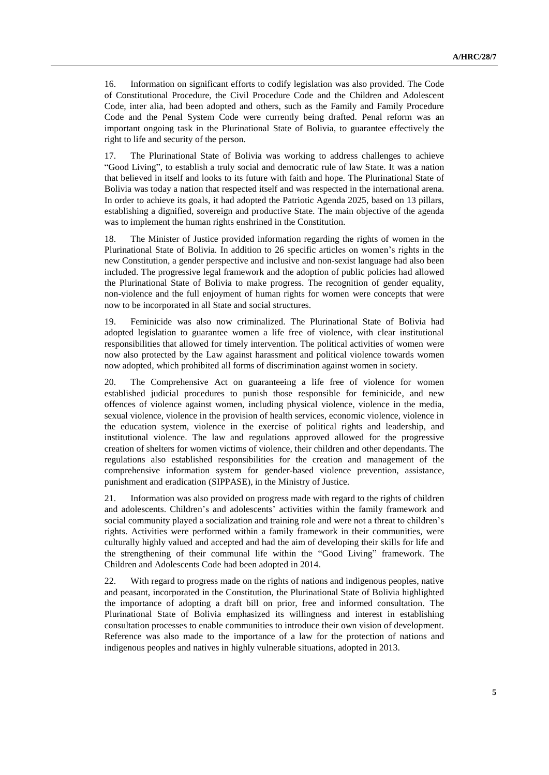16. Information on significant efforts to codify legislation was also provided. The Code of Constitutional Procedure, the Civil Procedure Code and the Children and Adolescent Code, inter alia, had been adopted and others, such as the Family and Family Procedure Code and the Penal System Code were currently being drafted. Penal reform was an important ongoing task in the Plurinational State of Bolivia, to guarantee effectively the right to life and security of the person.

17. The Plurinational State of Bolivia was working to address challenges to achieve "Good Living", to establish a truly social and democratic rule of law State. It was a nation that believed in itself and looks to its future with faith and hope. The Plurinational State of Bolivia was today a nation that respected itself and was respected in the international arena. In order to achieve its goals, it had adopted the Patriotic Agenda 2025, based on 13 pillars, establishing a dignified, sovereign and productive State. The main objective of the agenda was to implement the human rights enshrined in the Constitution.

18. The Minister of Justice provided information regarding the rights of women in the Plurinational State of Bolivia. In addition to 26 specific articles on women's rights in the new Constitution, a gender perspective and inclusive and non-sexist language had also been included. The progressive legal framework and the adoption of public policies had allowed the Plurinational State of Bolivia to make progress. The recognition of gender equality, non-violence and the full enjoyment of human rights for women were concepts that were now to be incorporated in all State and social structures.

19. Feminicide was also now criminalized. The Plurinational State of Bolivia had adopted legislation to guarantee women a life free of violence, with clear institutional responsibilities that allowed for timely intervention. The political activities of women were now also protected by the Law against harassment and political violence towards women now adopted, which prohibited all forms of discrimination against women in society.

20. The Comprehensive Act on guaranteeing a life free of violence for women established judicial procedures to punish those responsible for feminicide, and new offences of violence against women, including physical violence, violence in the media, sexual violence, violence in the provision of health services, economic violence, violence in the education system, violence in the exercise of political rights and leadership, and institutional violence. The law and regulations approved allowed for the progressive creation of shelters for women victims of violence, their children and other dependants. The regulations also established responsibilities for the creation and management of the comprehensive information system for gender-based violence prevention, assistance, punishment and eradication (SIPPASE), in the Ministry of Justice.

21. Information was also provided on progress made with regard to the rights of children and adolescents. Children's and adolescents' activities within the family framework and social community played a socialization and training role and were not a threat to children's rights. Activities were performed within a family framework in their communities, were culturally highly valued and accepted and had the aim of developing their skills for life and the strengthening of their communal life within the "Good Living" framework. The Children and Adolescents Code had been adopted in 2014.

22. With regard to progress made on the rights of nations and indigenous peoples, native and peasant, incorporated in the Constitution, the Plurinational State of Bolivia highlighted the importance of adopting a draft bill on prior, free and informed consultation. The Plurinational State of Bolivia emphasized its willingness and interest in establishing consultation processes to enable communities to introduce their own vision of development. Reference was also made to the importance of a law for the protection of nations and indigenous peoples and natives in highly vulnerable situations, adopted in 2013.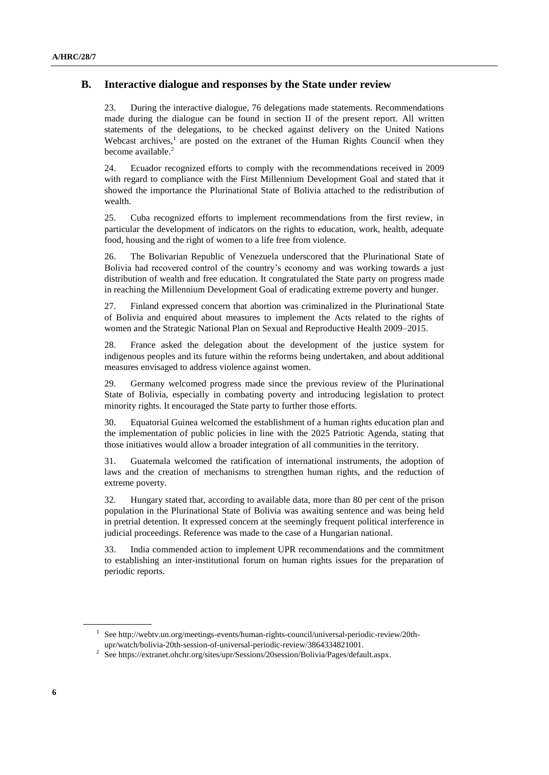#### **B. Interactive dialogue and responses by the State under review**

23. During the interactive dialogue, 76 delegations made statements. Recommendations made during the dialogue can be found in section II of the present report. All written statements of the delegations, to be checked against delivery on the United Nations Webcast archives, $<sup>1</sup>$  are posted on the extranet of the Human Rights Council when they</sup> become available.<sup>2</sup>

24. Ecuador recognized efforts to comply with the recommendations received in 2009 with regard to compliance with the First Millennium Development Goal and stated that it showed the importance the Plurinational State of Bolivia attached to the redistribution of wealth.

25. Cuba recognized efforts to implement recommendations from the first review, in particular the development of indicators on the rights to education, work, health, adequate food, housing and the right of women to a life free from violence.

26. The Bolivarian Republic of Venezuela underscored that the Plurinational State of Bolivia had recovered control of the country's economy and was working towards a just distribution of wealth and free education. It congratulated the State party on progress made in reaching the Millennium Development Goal of eradicating extreme poverty and hunger.

27. Finland expressed concern that abortion was criminalized in the Plurinational State of Bolivia and enquired about measures to implement the Acts related to the rights of women and the Strategic National Plan on Sexual and Reproductive Health 2009–2015.

28. France asked the delegation about the development of the justice system for indigenous peoples and its future within the reforms being undertaken, and about additional measures envisaged to address violence against women.

29. Germany welcomed progress made since the previous review of the Plurinational State of Bolivia, especially in combating poverty and introducing legislation to protect minority rights. It encouraged the State party to further those efforts.

30. Equatorial Guinea welcomed the establishment of a human rights education plan and the implementation of public policies in line with the 2025 Patriotic Agenda, stating that those initiatives would allow a broader integration of all communities in the territory.

31. Guatemala welcomed the ratification of international instruments, the adoption of laws and the creation of mechanisms to strengthen human rights, and the reduction of extreme poverty.

32. Hungary stated that, according to available data, more than 80 per cent of the prison population in the Plurinational State of Bolivia was awaiting sentence and was being held in pretrial detention. It expressed concern at the seemingly frequent political interference in judicial proceedings. Reference was made to the case of a Hungarian national.

33. India commended action to implement UPR recommendations and the commitment to establishing an inter-institutional forum on human rights issues for the preparation of periodic reports.

<sup>&</sup>lt;sup>1</sup> See http://webtv.un.org/meetings-events/human-rights-council/universal-periodic-review/20thupr/watch/bolivia-20th-session-of-universal-periodic-review/3864334821001.

<sup>&</sup>lt;sup>2</sup> See https://extranet.ohchr.org/sites/upr/Sessions/20session/Bolivia/Pages/default.aspx.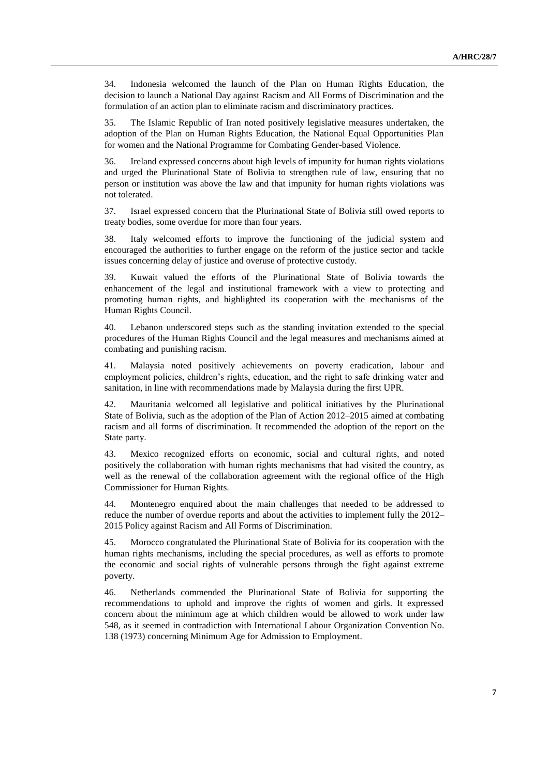34. Indonesia welcomed the launch of the Plan on Human Rights Education, the decision to launch a National Day against Racism and All Forms of Discrimination and the formulation of an action plan to eliminate racism and discriminatory practices.

35. The Islamic Republic of Iran noted positively legislative measures undertaken, the adoption of the Plan on Human Rights Education, the National Equal Opportunities Plan for women and the National Programme for Combating Gender-based Violence.

36. Ireland expressed concerns about high levels of impunity for human rights violations and urged the Plurinational State of Bolivia to strengthen rule of law, ensuring that no person or institution was above the law and that impunity for human rights violations was not tolerated.

37. Israel expressed concern that the Plurinational State of Bolivia still owed reports to treaty bodies, some overdue for more than four years.

38. Italy welcomed efforts to improve the functioning of the judicial system and encouraged the authorities to further engage on the reform of the justice sector and tackle issues concerning delay of justice and overuse of protective custody.

39. Kuwait valued the efforts of the Plurinational State of Bolivia towards the enhancement of the legal and institutional framework with a view to protecting and promoting human rights, and highlighted its cooperation with the mechanisms of the Human Rights Council.

40. Lebanon underscored steps such as the standing invitation extended to the special procedures of the Human Rights Council and the legal measures and mechanisms aimed at combating and punishing racism.

41. Malaysia noted positively achievements on poverty eradication, labour and employment policies, children's rights, education, and the right to safe drinking water and sanitation, in line with recommendations made by Malaysia during the first UPR.

42. Mauritania welcomed all legislative and political initiatives by the Plurinational State of Bolivia, such as the adoption of the Plan of Action 2012–2015 aimed at combating racism and all forms of discrimination. It recommended the adoption of the report on the State party.

43. Mexico recognized efforts on economic, social and cultural rights, and noted positively the collaboration with human rights mechanisms that had visited the country, as well as the renewal of the collaboration agreement with the regional office of the High Commissioner for Human Rights.

44. Montenegro enquired about the main challenges that needed to be addressed to reduce the number of overdue reports and about the activities to implement fully the 2012– 2015 Policy against Racism and All Forms of Discrimination.

45. Morocco congratulated the Plurinational State of Bolivia for its cooperation with the human rights mechanisms, including the special procedures, as well as efforts to promote the economic and social rights of vulnerable persons through the fight against extreme poverty.

46. Netherlands commended the Plurinational State of Bolivia for supporting the recommendations to uphold and improve the rights of women and girls. It expressed concern about the minimum age at which children would be allowed to work under law 548, as it seemed in contradiction with International Labour Organization Convention No. 138 (1973) concerning Minimum Age for Admission to Employment.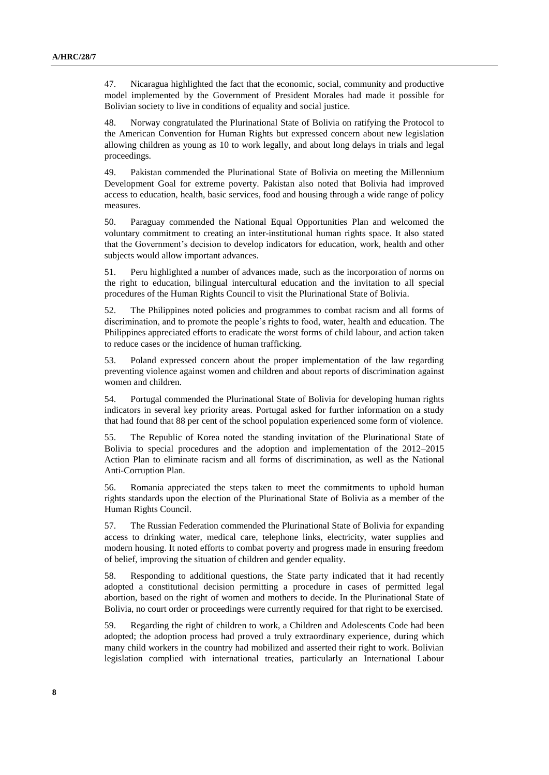47. Nicaragua highlighted the fact that the economic, social, community and productive model implemented by the Government of President Morales had made it possible for Bolivian society to live in conditions of equality and social justice.

48. Norway congratulated the Plurinational State of Bolivia on ratifying the Protocol to the American Convention for Human Rights but expressed concern about new legislation allowing children as young as 10 to work legally, and about long delays in trials and legal proceedings.

49. Pakistan commended the Plurinational State of Bolivia on meeting the Millennium Development Goal for extreme poverty. Pakistan also noted that Bolivia had improved access to education, health, basic services, food and housing through a wide range of policy measures.

50. Paraguay commended the National Equal Opportunities Plan and welcomed the voluntary commitment to creating an inter-institutional human rights space. It also stated that the Government's decision to develop indicators for education, work, health and other subjects would allow important advances.

51. Peru highlighted a number of advances made, such as the incorporation of norms on the right to education, bilingual intercultural education and the invitation to all special procedures of the Human Rights Council to visit the Plurinational State of Bolivia.

52. The Philippines noted policies and programmes to combat racism and all forms of discrimination, and to promote the people's rights to food, water, health and education. The Philippines appreciated efforts to eradicate the worst forms of child labour, and action taken to reduce cases or the incidence of human trafficking.

53. Poland expressed concern about the proper implementation of the law regarding preventing violence against women and children and about reports of discrimination against women and children.

54. Portugal commended the Plurinational State of Bolivia for developing human rights indicators in several key priority areas. Portugal asked for further information on a study that had found that 88 per cent of the school population experienced some form of violence.

55. The Republic of Korea noted the standing invitation of the Plurinational State of Bolivia to special procedures and the adoption and implementation of the 2012–2015 Action Plan to eliminate racism and all forms of discrimination, as well as the National Anti-Corruption Plan.

56. Romania appreciated the steps taken to meet the commitments to uphold human rights standards upon the election of the Plurinational State of Bolivia as a member of the Human Rights Council.

57. The Russian Federation commended the Plurinational State of Bolivia for expanding access to drinking water, medical care, telephone links, electricity, water supplies and modern housing. It noted efforts to combat poverty and progress made in ensuring freedom of belief, improving the situation of children and gender equality.

58. Responding to additional questions, the State party indicated that it had recently adopted a constitutional decision permitting a procedure in cases of permitted legal abortion, based on the right of women and mothers to decide. In the Plurinational State of Bolivia, no court order or proceedings were currently required for that right to be exercised.

59. Regarding the right of children to work, a Children and Adolescents Code had been adopted; the adoption process had proved a truly extraordinary experience, during which many child workers in the country had mobilized and asserted their right to work. Bolivian legislation complied with international treaties, particularly an International Labour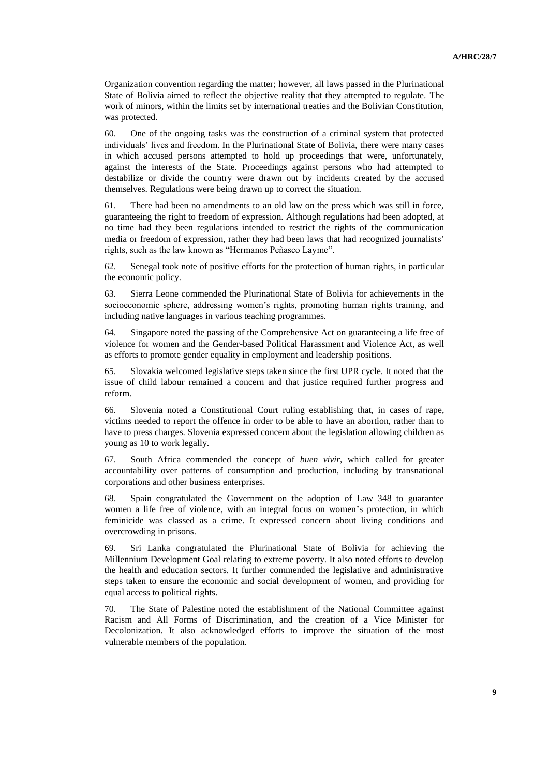Organization convention regarding the matter; however, all laws passed in the Plurinational State of Bolivia aimed to reflect the objective reality that they attempted to regulate. The work of minors, within the limits set by international treaties and the Bolivian Constitution, was protected.

60. One of the ongoing tasks was the construction of a criminal system that protected individuals' lives and freedom. In the Plurinational State of Bolivia, there were many cases in which accused persons attempted to hold up proceedings that were, unfortunately, against the interests of the State. Proceedings against persons who had attempted to destabilize or divide the country were drawn out by incidents created by the accused themselves. Regulations were being drawn up to correct the situation.

61. There had been no amendments to an old law on the press which was still in force, guaranteeing the right to freedom of expression. Although regulations had been adopted, at no time had they been regulations intended to restrict the rights of the communication media or freedom of expression, rather they had been laws that had recognized journalists' rights, such as the law known as "Hermanos Peñasco Layme".

62. Senegal took note of positive efforts for the protection of human rights, in particular the economic policy.

63. Sierra Leone commended the Plurinational State of Bolivia for achievements in the socioeconomic sphere, addressing women's rights, promoting human rights training, and including native languages in various teaching programmes.

64. Singapore noted the passing of the Comprehensive Act on guaranteeing a life free of violence for women and the Gender-based Political Harassment and Violence Act, as well as efforts to promote gender equality in employment and leadership positions.

65. Slovakia welcomed legislative steps taken since the first UPR cycle. It noted that the issue of child labour remained a concern and that justice required further progress and reform.

66. Slovenia noted a Constitutional Court ruling establishing that, in cases of rape, victims needed to report the offence in order to be able to have an abortion, rather than to have to press charges. Slovenia expressed concern about the legislation allowing children as young as 10 to work legally.

67. South Africa commended the concept of *buen vivir*, which called for greater accountability over patterns of consumption and production, including by transnational corporations and other business enterprises.

68. Spain congratulated the Government on the adoption of Law 348 to guarantee women a life free of violence, with an integral focus on women's protection, in which feminicide was classed as a crime. It expressed concern about living conditions and overcrowding in prisons.

69. Sri Lanka congratulated the Plurinational State of Bolivia for achieving the Millennium Development Goal relating to extreme poverty. It also noted efforts to develop the health and education sectors. It further commended the legislative and administrative steps taken to ensure the economic and social development of women, and providing for equal access to political rights.

70. The State of Palestine noted the establishment of the National Committee against Racism and All Forms of Discrimination, and the creation of a Vice Minister for Decolonization. It also acknowledged efforts to improve the situation of the most vulnerable members of the population.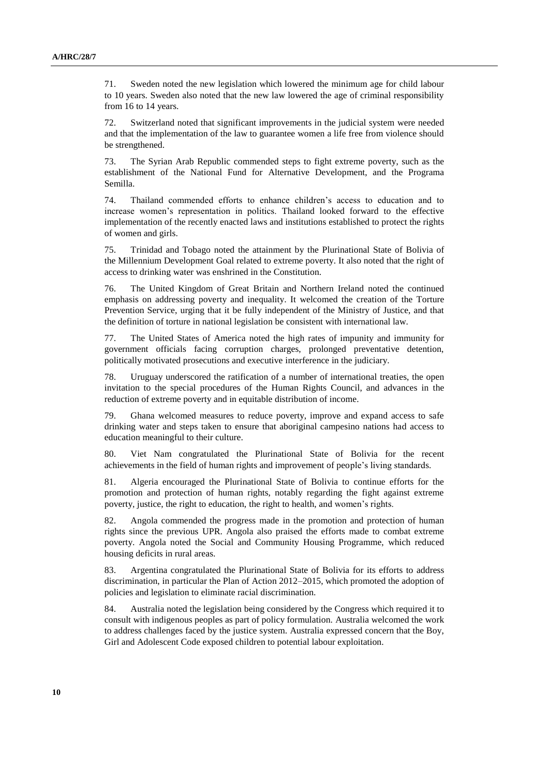71. Sweden noted the new legislation which lowered the minimum age for child labour to 10 years. Sweden also noted that the new law lowered the age of criminal responsibility from 16 to 14 years.

72. Switzerland noted that significant improvements in the judicial system were needed and that the implementation of the law to guarantee women a life free from violence should be strengthened.

73. The Syrian Arab Republic commended steps to fight extreme poverty, such as the establishment of the National Fund for Alternative Development, and the Programa Semilla.

74. Thailand commended efforts to enhance children's access to education and to increase women's representation in politics. Thailand looked forward to the effective implementation of the recently enacted laws and institutions established to protect the rights of women and girls.

75. Trinidad and Tobago noted the attainment by the Plurinational State of Bolivia of the Millennium Development Goal related to extreme poverty. It also noted that the right of access to drinking water was enshrined in the Constitution.

76. The United Kingdom of Great Britain and Northern Ireland noted the continued emphasis on addressing poverty and inequality. It welcomed the creation of the Torture Prevention Service, urging that it be fully independent of the Ministry of Justice, and that the definition of torture in national legislation be consistent with international law.

77. The United States of America noted the high rates of impunity and immunity for government officials facing corruption charges, prolonged preventative detention, politically motivated prosecutions and executive interference in the judiciary.

78. Uruguay underscored the ratification of a number of international treaties, the open invitation to the special procedures of the Human Rights Council, and advances in the reduction of extreme poverty and in equitable distribution of income.

79. Ghana welcomed measures to reduce poverty, improve and expand access to safe drinking water and steps taken to ensure that aboriginal campesino nations had access to education meaningful to their culture.

80. Viet Nam congratulated the Plurinational State of Bolivia for the recent achievements in the field of human rights and improvement of people's living standards.

81. Algeria encouraged the Plurinational State of Bolivia to continue efforts for the promotion and protection of human rights, notably regarding the fight against extreme poverty, justice, the right to education, the right to health, and women's rights.

82. Angola commended the progress made in the promotion and protection of human rights since the previous UPR. Angola also praised the efforts made to combat extreme poverty. Angola noted the Social and Community Housing Programme, which reduced housing deficits in rural areas.

83. Argentina congratulated the Plurinational State of Bolivia for its efforts to address discrimination, in particular the Plan of Action 2012–2015, which promoted the adoption of policies and legislation to eliminate racial discrimination.

84. Australia noted the legislation being considered by the Congress which required it to consult with indigenous peoples as part of policy formulation. Australia welcomed the work to address challenges faced by the justice system. Australia expressed concern that the Boy, Girl and Adolescent Code exposed children to potential labour exploitation.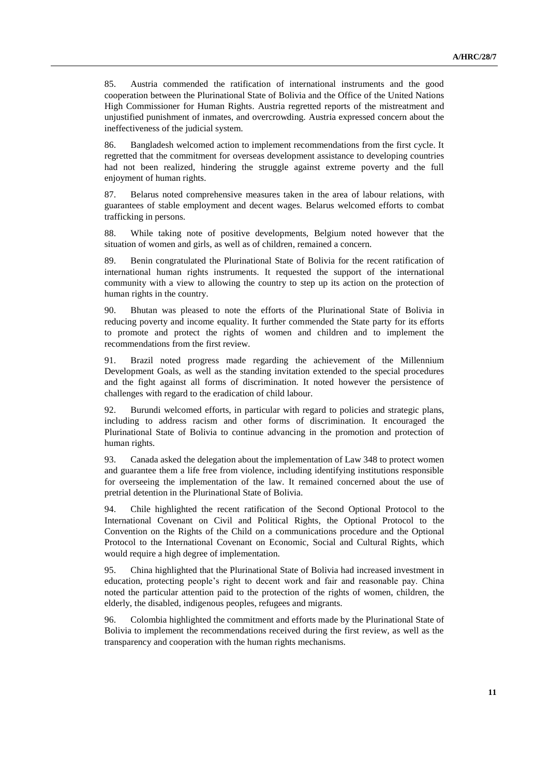85. Austria commended the ratification of international instruments and the good cooperation between the Plurinational State of Bolivia and the Office of the United Nations High Commissioner for Human Rights. Austria regretted reports of the mistreatment and unjustified punishment of inmates, and overcrowding. Austria expressed concern about the ineffectiveness of the judicial system.

86. Bangladesh welcomed action to implement recommendations from the first cycle. It regretted that the commitment for overseas development assistance to developing countries had not been realized, hindering the struggle against extreme poverty and the full enjoyment of human rights.

87. Belarus noted comprehensive measures taken in the area of labour relations, with guarantees of stable employment and decent wages. Belarus welcomed efforts to combat trafficking in persons.

88. While taking note of positive developments, Belgium noted however that the situation of women and girls, as well as of children, remained a concern.

89. Benin congratulated the Plurinational State of Bolivia for the recent ratification of international human rights instruments. It requested the support of the international community with a view to allowing the country to step up its action on the protection of human rights in the country.

90. Bhutan was pleased to note the efforts of the Plurinational State of Bolivia in reducing poverty and income equality. It further commended the State party for its efforts to promote and protect the rights of women and children and to implement the recommendations from the first review.

91. Brazil noted progress made regarding the achievement of the Millennium Development Goals, as well as the standing invitation extended to the special procedures and the fight against all forms of discrimination. It noted however the persistence of challenges with regard to the eradication of child labour.

92. Burundi welcomed efforts, in particular with regard to policies and strategic plans, including to address racism and other forms of discrimination. It encouraged the Plurinational State of Bolivia to continue advancing in the promotion and protection of human rights.

93. Canada asked the delegation about the implementation of Law 348 to protect women and guarantee them a life free from violence, including identifying institutions responsible for overseeing the implementation of the law. It remained concerned about the use of pretrial detention in the Plurinational State of Bolivia.

94. Chile highlighted the recent ratification of the Second Optional Protocol to the International Covenant on Civil and Political Rights, the Optional Protocol to the Convention on the Rights of the Child on a communications procedure and the Optional Protocol to the International Covenant on Economic, Social and Cultural Rights, which would require a high degree of implementation.

95. China highlighted that the Plurinational State of Bolivia had increased investment in education, protecting people's right to decent work and fair and reasonable pay. China noted the particular attention paid to the protection of the rights of women, children, the elderly, the disabled, indigenous peoples, refugees and migrants.

96. Colombia highlighted the commitment and efforts made by the Plurinational State of Bolivia to implement the recommendations received during the first review, as well as the transparency and cooperation with the human rights mechanisms.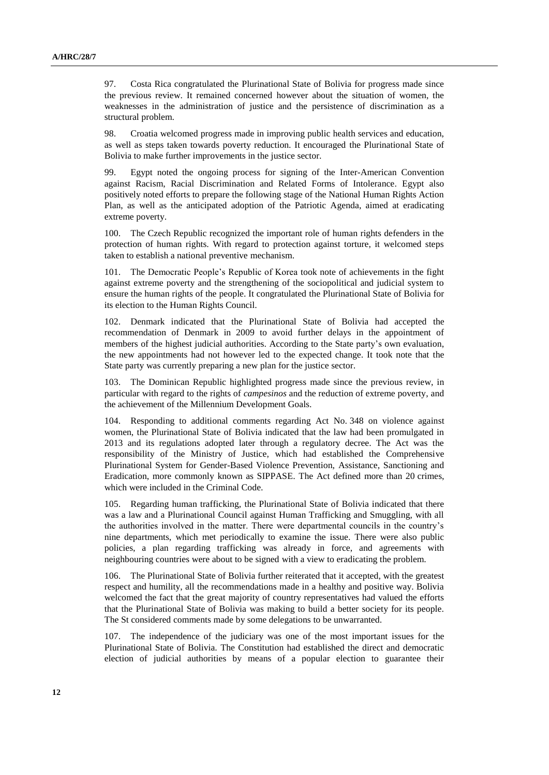97. Costa Rica congratulated the Plurinational State of Bolivia for progress made since the previous review. It remained concerned however about the situation of women, the weaknesses in the administration of justice and the persistence of discrimination as a structural problem.

98. Croatia welcomed progress made in improving public health services and education, as well as steps taken towards poverty reduction. It encouraged the Plurinational State of Bolivia to make further improvements in the justice sector.

99. Egypt noted the ongoing process for signing of the Inter-American Convention against Racism, Racial Discrimination and Related Forms of Intolerance. Egypt also positively noted efforts to prepare the following stage of the National Human Rights Action Plan, as well as the anticipated adoption of the Patriotic Agenda, aimed at eradicating extreme poverty.

100. The Czech Republic recognized the important role of human rights defenders in the protection of human rights. With regard to protection against torture, it welcomed steps taken to establish a national preventive mechanism.

101. The Democratic People's Republic of Korea took note of achievements in the fight against extreme poverty and the strengthening of the sociopolitical and judicial system to ensure the human rights of the people. It congratulated the Plurinational State of Bolivia for its election to the Human Rights Council.

102. Denmark indicated that the Plurinational State of Bolivia had accepted the recommendation of Denmark in 2009 to avoid further delays in the appointment of members of the highest judicial authorities. According to the State party's own evaluation, the new appointments had not however led to the expected change. It took note that the State party was currently preparing a new plan for the justice sector.

The Dominican Republic highlighted progress made since the previous review, in particular with regard to the rights of *campesinos* and the reduction of extreme poverty, and the achievement of the Millennium Development Goals.

104. Responding to additional comments regarding Act No. 348 on violence against women, the Plurinational State of Bolivia indicated that the law had been promulgated in 2013 and its regulations adopted later through a regulatory decree. The Act was the responsibility of the Ministry of Justice, which had established the Comprehensive Plurinational System for Gender-Based Violence Prevention, Assistance, Sanctioning and Eradication, more commonly known as SIPPASE. The Act defined more than 20 crimes, which were included in the Criminal Code.

105. Regarding human trafficking, the Plurinational State of Bolivia indicated that there was a law and a Plurinational Council against Human Trafficking and Smuggling, with all the authorities involved in the matter. There were departmental councils in the country's nine departments, which met periodically to examine the issue. There were also public policies, a plan regarding trafficking was already in force, and agreements with neighbouring countries were about to be signed with a view to eradicating the problem.

106. The Plurinational State of Bolivia further reiterated that it accepted, with the greatest respect and humility, all the recommendations made in a healthy and positive way. Bolivia welcomed the fact that the great majority of country representatives had valued the efforts that the Plurinational State of Bolivia was making to build a better society for its people. The St considered comments made by some delegations to be unwarranted.

107. The independence of the judiciary was one of the most important issues for the Plurinational State of Bolivia. The Constitution had established the direct and democratic election of judicial authorities by means of a popular election to guarantee their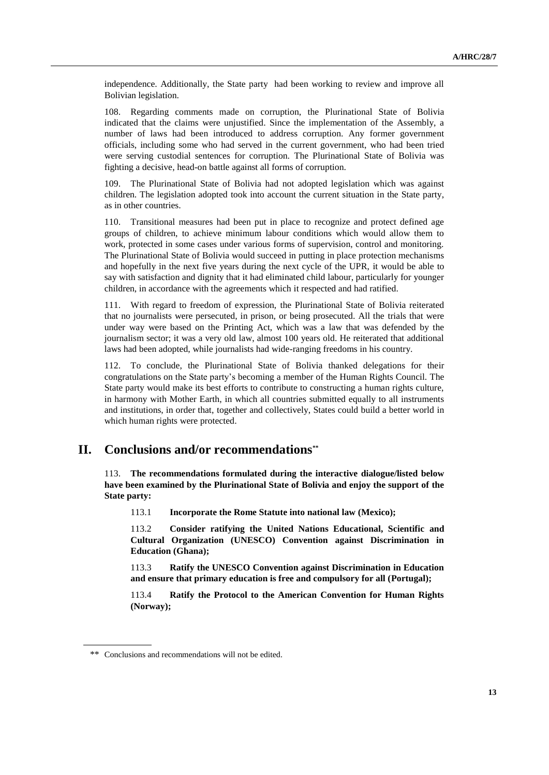independence. Additionally, the State party had been working to review and improve all Bolivian legislation.

108. Regarding comments made on corruption, the Plurinational State of Bolivia indicated that the claims were unjustified. Since the implementation of the Assembly, a number of laws had been introduced to address corruption. Any former government officials, including some who had served in the current government, who had been tried were serving custodial sentences for corruption. The Plurinational State of Bolivia was fighting a decisive, head-on battle against all forms of corruption.

The Plurinational State of Bolivia had not adopted legislation which was against children. The legislation adopted took into account the current situation in the State party, as in other countries.

110. Transitional measures had been put in place to recognize and protect defined age groups of children, to achieve minimum labour conditions which would allow them to work, protected in some cases under various forms of supervision, control and monitoring. The Plurinational State of Bolivia would succeed in putting in place protection mechanisms and hopefully in the next five years during the next cycle of the UPR, it would be able to say with satisfaction and dignity that it had eliminated child labour, particularly for younger children, in accordance with the agreements which it respected and had ratified.

111. With regard to freedom of expression, the Plurinational State of Bolivia reiterated that no journalists were persecuted, in prison, or being prosecuted. All the trials that were under way were based on the Printing Act, which was a law that was defended by the journalism sector; it was a very old law, almost 100 years old. He reiterated that additional laws had been adopted, while journalists had wide-ranging freedoms in his country.

112. To conclude, the Plurinational State of Bolivia thanked delegations for their congratulations on the State party's becoming a member of the Human Rights Council. The State party would make its best efforts to contribute to constructing a human rights culture, in harmony with Mother Earth, in which all countries submitted equally to all instruments and institutions, in order that, together and collectively, States could build a better world in which human rights were protected.

# **II. Conclusions and/or recommendations\*\***

113. **The recommendations formulated during the interactive dialogue/listed below have been examined by the Plurinational State of Bolivia and enjoy the support of the State party:**

113.1 **Incorporate the Rome Statute into national law (Mexico);**

113.2 **Consider ratifying the United Nations Educational, Scientific and Cultural Organization (UNESCO) Convention against Discrimination in Education (Ghana);**

113.3 **Ratify the UNESCO Convention against Discrimination in Education and ensure that primary education is free and compulsory for all (Portugal);**

113.4 **Ratify the Protocol to the American Convention for Human Rights (Norway);**

<sup>\*\*</sup> Conclusions and recommendations will not be edited.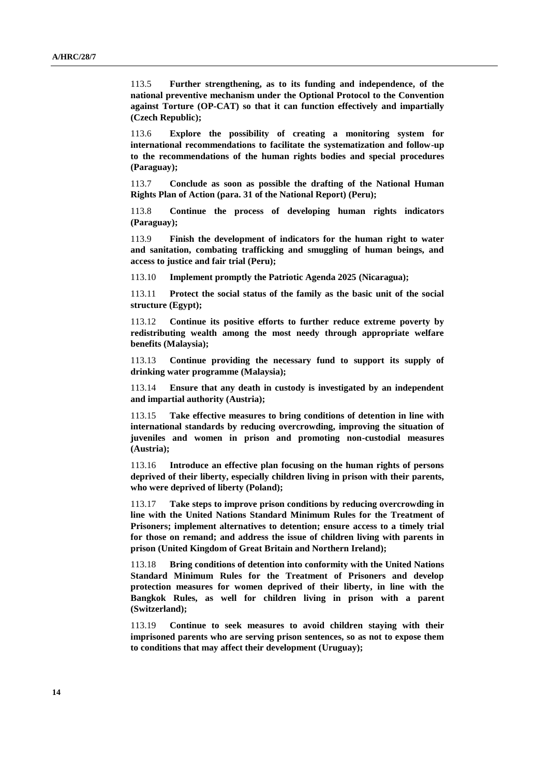113.5 **Further strengthening, as to its funding and independence, of the national preventive mechanism under the Optional Protocol to the Convention against Torture (OP-CAT) so that it can function effectively and impartially (Czech Republic);**

113.6 **Explore the possibility of creating a monitoring system for international recommendations to facilitate the systematization and follow-up to the recommendations of the human rights bodies and special procedures (Paraguay);**

113.7 **Conclude as soon as possible the drafting of the National Human Rights Plan of Action (para. 31 of the National Report) (Peru);**

113.8 **Continue the process of developing human rights indicators (Paraguay);**

113.9 **Finish the development of indicators for the human right to water and sanitation, combating trafficking and smuggling of human beings, and access to justice and fair trial (Peru);**

113.10 **Implement promptly the Patriotic Agenda 2025 (Nicaragua);**

113.11 **Protect the social status of the family as the basic unit of the social structure (Egypt);**

113.12 **Continue its positive efforts to further reduce extreme poverty by redistributing wealth among the most needy through appropriate welfare benefits (Malaysia);**

113.13 **Continue providing the necessary fund to support its supply of drinking water programme (Malaysia);**

113.14 **Ensure that any death in custody is investigated by an independent and impartial authority (Austria);**

113.15 **Take effective measures to bring conditions of detention in line with international standards by reducing overcrowding, improving the situation of juveniles and women in prison and promoting non-custodial measures (Austria);**

113.16 **Introduce an effective plan focusing on the human rights of persons deprived of their liberty, especially children living in prison with their parents, who were deprived of liberty (Poland);**

113.17 **Take steps to improve prison conditions by reducing overcrowding in line with the United Nations Standard Minimum Rules for the Treatment of Prisoners; implement alternatives to detention; ensure access to a timely trial for those on remand; and address the issue of children living with parents in prison (United Kingdom of Great Britain and Northern Ireland);** 

113.18 **Bring conditions of detention into conformity with the United Nations Standard Minimum Rules for the Treatment of Prisoners and develop protection measures for women deprived of their liberty, in line with the Bangkok Rules, as well for children living in prison with a parent (Switzerland);**

113.19 **Continue to seek measures to avoid children staying with their imprisoned parents who are serving prison sentences, so as not to expose them to conditions that may affect their development (Uruguay);**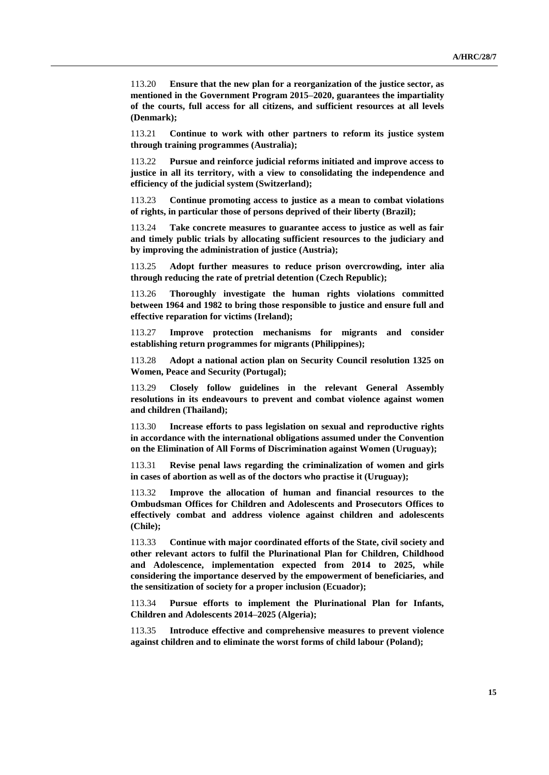113.20 **Ensure that the new plan for a reorganization of the justice sector, as mentioned in the Government Program 2015–2020, guarantees the impartiality of the courts, full access for all citizens, and sufficient resources at all levels (Denmark);**

113.21 **Continue to work with other partners to reform its justice system through training programmes (Australia);**

113.22 **Pursue and reinforce judicial reforms initiated and improve access to justice in all its territory, with a view to consolidating the independence and efficiency of the judicial system (Switzerland);**

113.23 **Continue promoting access to justice as a mean to combat violations of rights, in particular those of persons deprived of their liberty (Brazil);**

113.24 **Take concrete measures to guarantee access to justice as well as fair and timely public trials by allocating sufficient resources to the judiciary and by improving the administration of justice (Austria);**

113.25 **Adopt further measures to reduce prison overcrowding, inter alia through reducing the rate of pretrial detention (Czech Republic);**

113.26 **Thoroughly investigate the human rights violations committed between 1964 and 1982 to bring those responsible to justice and ensure full and effective reparation for victims (Ireland);**

113.27 **Improve protection mechanisms for migrants and consider establishing return programmes for migrants (Philippines);**

113.28 **Adopt a national action plan on Security Council resolution 1325 on Women, Peace and Security (Portugal);**

113.29 **Closely follow guidelines in the relevant General Assembly resolutions in its endeavours to prevent and combat violence against women and children (Thailand);**

113.30 **Increase efforts to pass legislation on sexual and reproductive rights in accordance with the international obligations assumed under the Convention on the Elimination of All Forms of Discrimination against Women (Uruguay);**

113.31 **Revise penal laws regarding the criminalization of women and girls in cases of abortion as well as of the doctors who practise it (Uruguay);**

113.32 **Improve the allocation of human and financial resources to the Ombudsman Offices for Children and Adolescents and Prosecutors Offices to effectively combat and address violence against children and adolescents (Chile);**

113.33 **Continue with major coordinated efforts of the State, civil society and other relevant actors to fulfil the Plurinational Plan for Children, Childhood and Adolescence, implementation expected from 2014 to 2025, while considering the importance deserved by the empowerment of beneficiaries, and the sensitization of society for a proper inclusion (Ecuador);**

113.34 **Pursue efforts to implement the Plurinational Plan for Infants, Children and Adolescents 2014–2025 (Algeria);**

113.35 **Introduce effective and comprehensive measures to prevent violence against children and to eliminate the worst forms of child labour (Poland);**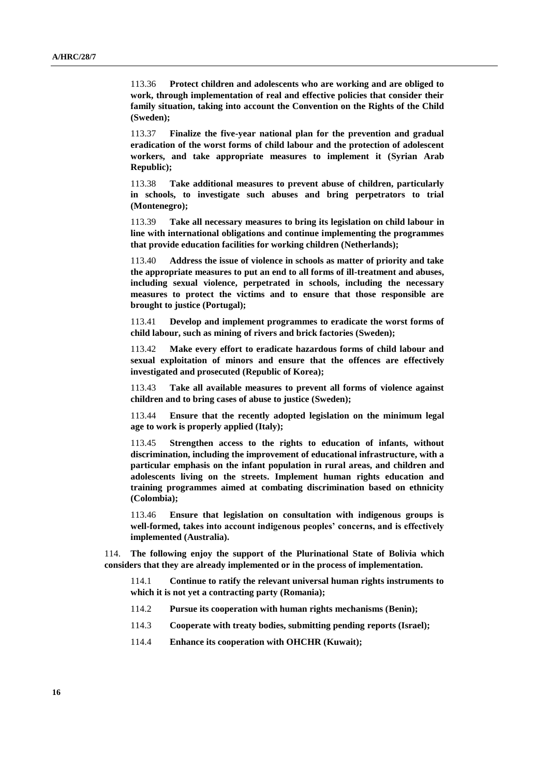113.36 **Protect children and adolescents who are working and are obliged to work, through implementation of real and effective policies that consider their family situation, taking into account the Convention on the Rights of the Child (Sweden);**

113.37 **Finalize the five-year national plan for the prevention and gradual eradication of the worst forms of child labour and the protection of adolescent workers, and take appropriate measures to implement it (Syrian Arab Republic);**

113.38 **Take additional measures to prevent abuse of children, particularly in schools, to investigate such abuses and bring perpetrators to trial (Montenegro);**

113.39 **Take all necessary measures to bring its legislation on child labour in line with international obligations and continue implementing the programmes that provide education facilities for working children (Netherlands);**

113.40 **Address the issue of violence in schools as matter of priority and take the appropriate measures to put an end to all forms of ill-treatment and abuses, including sexual violence, perpetrated in schools, including the necessary measures to protect the victims and to ensure that those responsible are brought to justice (Portugal);**

113.41 **Develop and implement programmes to eradicate the worst forms of child labour, such as mining of rivers and brick factories (Sweden);**

113.42 **Make every effort to eradicate hazardous forms of child labour and sexual exploitation of minors and ensure that the offences are effectively investigated and prosecuted (Republic of Korea);**

113.43 **Take all available measures to prevent all forms of violence against children and to bring cases of abuse to justice (Sweden);**

113.44 **Ensure that the recently adopted legislation on the minimum legal age to work is properly applied (Italy);**

113.45 **Strengthen access to the rights to education of infants, without discrimination, including the improvement of educational infrastructure, with a particular emphasis on the infant population in rural areas, and children and adolescents living on the streets. Implement human rights education and training programmes aimed at combating discrimination based on ethnicity (Colombia);**

113.46 **Ensure that legislation on consultation with indigenous groups is well-formed, takes into account indigenous peoples' concerns, and is effectively implemented (Australia).**

114. **The following enjoy the support of the Plurinational State of Bolivia which considers that they are already implemented or in the process of implementation.**

114.1 **Continue to ratify the relevant universal human rights instruments to which it is not yet a contracting party (Romania);**

- 114.2 **Pursue its cooperation with human rights mechanisms (Benin);**
- 114.3 **Cooperate with treaty bodies, submitting pending reports (Israel);**
- 114.4 **Enhance its cooperation with OHCHR (Kuwait);**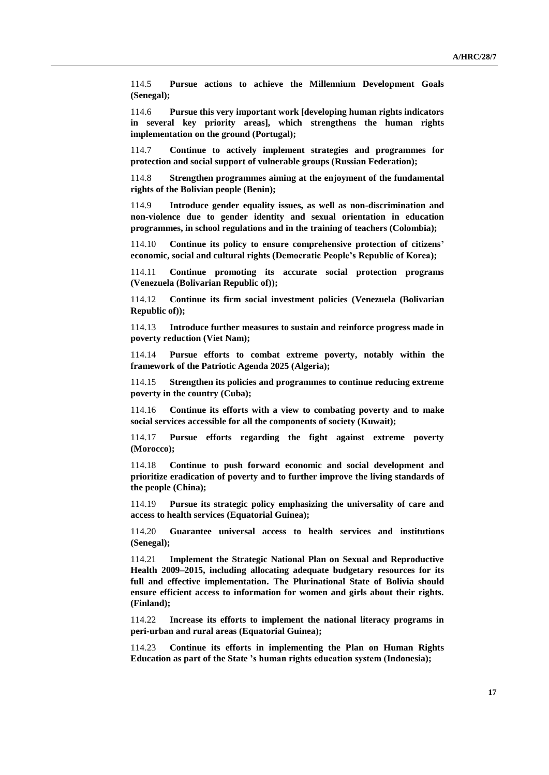114.5 **Pursue actions to achieve the Millennium Development Goals (Senegal);**

114.6 **Pursue this very important work [developing human rights indicators in several key priority areas], which strengthens the human rights implementation on the ground (Portugal);**

114.7 **Continue to actively implement strategies and programmes for protection and social support of vulnerable groups (Russian Federation);** 

114.8 **Strengthen programmes aiming at the enjoyment of the fundamental rights of the Bolivian people (Benin);**

114.9 **Introduce gender equality issues, as well as non-discrimination and non-violence due to gender identity and sexual orientation in education programmes, in school regulations and in the training of teachers (Colombia);**

114.10 **Continue its policy to ensure comprehensive protection of citizens' economic, social and cultural rights (Democratic People's Republic of Korea);**

114.11 **Continue promoting its accurate social protection programs (Venezuela (Bolivarian Republic of));**

114.12 **Continue its firm social investment policies (Venezuela (Bolivarian Republic of));**

114.13 **Introduce further measures to sustain and reinforce progress made in poverty reduction (Viet Nam);**

114.14 **Pursue efforts to combat extreme poverty, notably within the framework of the Patriotic Agenda 2025 (Algeria);**

114.15 **Strengthen its policies and programmes to continue reducing extreme poverty in the country (Cuba);**

114.16 **Continue its efforts with a view to combating poverty and to make social services accessible for all the components of society (Kuwait);**

114.17 **Pursue efforts regarding the fight against extreme poverty (Morocco);**

114.18 **Continue to push forward economic and social development and prioritize eradication of poverty and to further improve the living standards of the people (China);**

114.19 **Pursue its strategic policy emphasizing the universality of care and access to health services (Equatorial Guinea);**

114.20 **Guarantee universal access to health services and institutions (Senegal);**

114.21 **Implement the Strategic National Plan on Sexual and Reproductive Health 2009–2015, including allocating adequate budgetary resources for its full and effective implementation. The Plurinational State of Bolivia should ensure efficient access to information for women and girls about their rights. (Finland);**

114.22 **Increase its efforts to implement the national literacy programs in peri-urban and rural areas (Equatorial Guinea);**

114.23 **Continue its efforts in implementing the Plan on Human Rights Education as part of the State 's human rights education system (Indonesia);**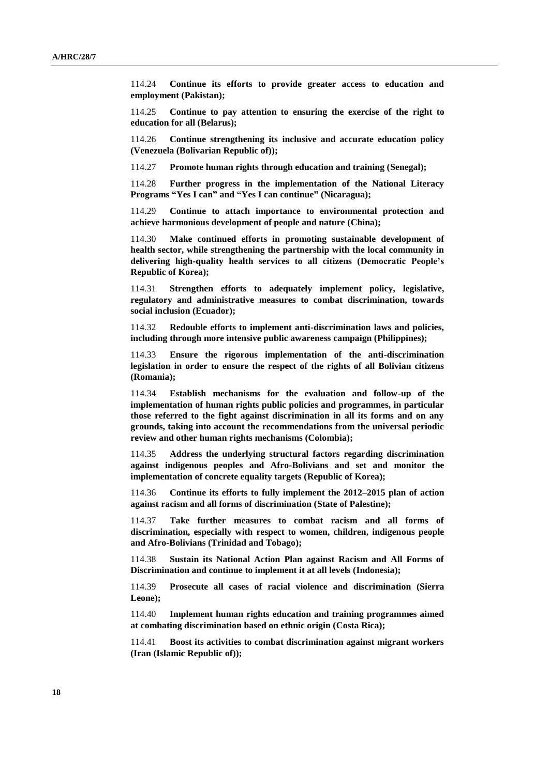114.24 **Continue its efforts to provide greater access to education and employment (Pakistan);**

114.25 **Continue to pay attention to ensuring the exercise of the right to education for all (Belarus);**

114.26 **Continue strengthening its inclusive and accurate education policy (Venezuela (Bolivarian Republic of));**

114.27 **Promote human rights through education and training (Senegal);**

114.28 **Further progress in the implementation of the National Literacy Programs "Yes I can" and "Yes I can continue" (Nicaragua);**

114.29 **Continue to attach importance to environmental protection and achieve harmonious development of people and nature (China);**

114.30 **Make continued efforts in promoting sustainable development of health sector, while strengthening the partnership with the local community in delivering high-quality health services to all citizens (Democratic People's Republic of Korea);**

114.31 **Strengthen efforts to adequately implement policy, legislative, regulatory and administrative measures to combat discrimination, towards social inclusion (Ecuador);**

114.32 **Redouble efforts to implement anti-discrimination laws and policies, including through more intensive public awareness campaign (Philippines);**

114.33 **Ensure the rigorous implementation of the anti-discrimination legislation in order to ensure the respect of the rights of all Bolivian citizens (Romania);**

114.34 **Establish mechanisms for the evaluation and follow-up of the implementation of human rights public policies and programmes, in particular those referred to the fight against discrimination in all its forms and on any grounds, taking into account the recommendations from the universal periodic review and other human rights mechanisms (Colombia);**

114.35 **Address the underlying structural factors regarding discrimination against indigenous peoples and Afro-Bolivians and set and monitor the implementation of concrete equality targets (Republic of Korea);**

114.36 **Continue its efforts to fully implement the 2012–2015 plan of action against racism and all forms of discrimination (State of Palestine);**

114.37 **Take further measures to combat racism and all forms of discrimination, especially with respect to women, children, indigenous people and Afro-Bolivians (Trinidad and Tobago);**

114.38 **Sustain its National Action Plan against Racism and All Forms of Discrimination and continue to implement it at all levels (Indonesia);**

114.39 **Prosecute all cases of racial violence and discrimination (Sierra Leone);**

114.40 **Implement human rights education and training programmes aimed at combating discrimination based on ethnic origin (Costa Rica);**

114.41 **Boost its activities to combat discrimination against migrant workers (Iran (Islamic Republic of));**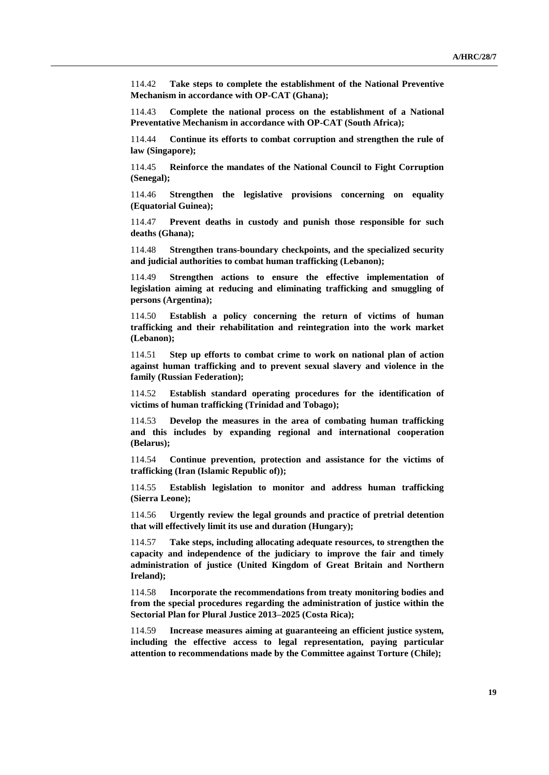114.42 **Take steps to complete the establishment of the National Preventive Mechanism in accordance with OP-CAT (Ghana);**

114.43 **Complete the national process on the establishment of a National Preventative Mechanism in accordance with OP-CAT (South Africa);**

114.44 **Continue its efforts to combat corruption and strengthen the rule of law (Singapore);**

114.45 **Reinforce the mandates of the National Council to Fight Corruption (Senegal);**

114.46 **Strengthen the legislative provisions concerning on equality (Equatorial Guinea);**

114.47 **Prevent deaths in custody and punish those responsible for such deaths (Ghana);**

114.48 **Strengthen trans-boundary checkpoints, and the specialized security and judicial authorities to combat human trafficking (Lebanon);**

114.49 **Strengthen actions to ensure the effective implementation of legislation aiming at reducing and eliminating trafficking and smuggling of persons (Argentina);**

114.50 **Establish a policy concerning the return of victims of human trafficking and their rehabilitation and reintegration into the work market (Lebanon);**

114.51 **Step up efforts to combat crime to work on national plan of action against human trafficking and to prevent sexual slavery and violence in the family (Russian Federation);**

114.52 **Establish standard operating procedures for the identification of victims of human trafficking (Trinidad and Tobago);**

114.53 **Develop the measures in the area of combating human trafficking and this includes by expanding regional and international cooperation (Belarus);**

114.54 **Continue prevention, protection and assistance for the victims of trafficking (Iran (Islamic Republic of));**

114.55 **Establish legislation to monitor and address human trafficking (Sierra Leone);**

114.56 **Urgently review the legal grounds and practice of pretrial detention that will effectively limit its use and duration (Hungary);**

114.57 **Take steps, including allocating adequate resources, to strengthen the capacity and independence of the judiciary to improve the fair and timely administration of justice (United Kingdom of Great Britain and Northern Ireland);**

114.58 **Incorporate the recommendations from treaty monitoring bodies and from the special procedures regarding the administration of justice within the Sectorial Plan for Plural Justice 2013–2025 (Costa Rica);**

114.59 **Increase measures aiming at guaranteeing an efficient justice system, including the effective access to legal representation, paying particular attention to recommendations made by the Committee against Torture (Chile);**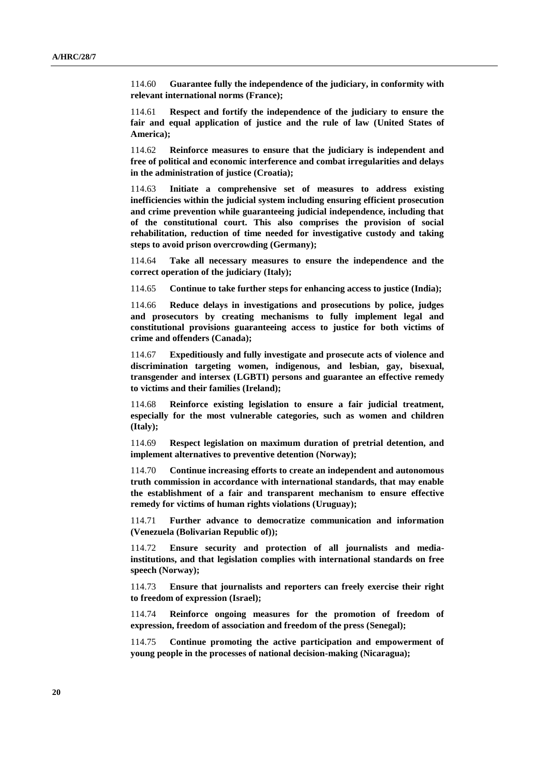114.60 **Guarantee fully the independence of the judiciary, in conformity with relevant international norms (France);**

114.61 **Respect and fortify the independence of the judiciary to ensure the fair and equal application of justice and the rule of law (United States of America);**

114.62 **Reinforce measures to ensure that the judiciary is independent and free of political and economic interference and combat irregularities and delays in the administration of justice (Croatia);** 

114.63 **Initiate a comprehensive set of measures to address existing inefficiencies within the judicial system including ensuring efficient prosecution and crime prevention while guaranteeing judicial independence, including that of the constitutional court. This also comprises the provision of social rehabilitation, reduction of time needed for investigative custody and taking steps to avoid prison overcrowding (Germany);**

114.64 **Take all necessary measures to ensure the independence and the correct operation of the judiciary (Italy);**

114.65 **Continue to take further steps for enhancing access to justice (India);**

114.66 **Reduce delays in investigations and prosecutions by police, judges and prosecutors by creating mechanisms to fully implement legal and constitutional provisions guaranteeing access to justice for both victims of crime and offenders (Canada);**

114.67 **Expeditiously and fully investigate and prosecute acts of violence and discrimination targeting women, indigenous, and lesbian, gay, bisexual, transgender and intersex (LGBTI) persons and guarantee an effective remedy to victims and their families (Ireland);**

114.68 **Reinforce existing legislation to ensure a fair judicial treatment, especially for the most vulnerable categories, such as women and children (Italy);**

114.69 **Respect legislation on maximum duration of pretrial detention, and implement alternatives to preventive detention (Norway);**

114.70 **Continue increasing efforts to create an independent and autonomous truth commission in accordance with international standards, that may enable the establishment of a fair and transparent mechanism to ensure effective remedy for victims of human rights violations (Uruguay);**

114.71 **Further advance to democratize communication and information (Venezuela (Bolivarian Republic of));**

114.72 **Ensure security and protection of all journalists and mediainstitutions, and that legislation complies with international standards on free speech (Norway);**

114.73 **Ensure that journalists and reporters can freely exercise their right to freedom of expression (Israel);**

114.74 **Reinforce ongoing measures for the promotion of freedom of expression, freedom of association and freedom of the press (Senegal);**

114.75 **Continue promoting the active participation and empowerment of young people in the processes of national decision-making (Nicaragua);**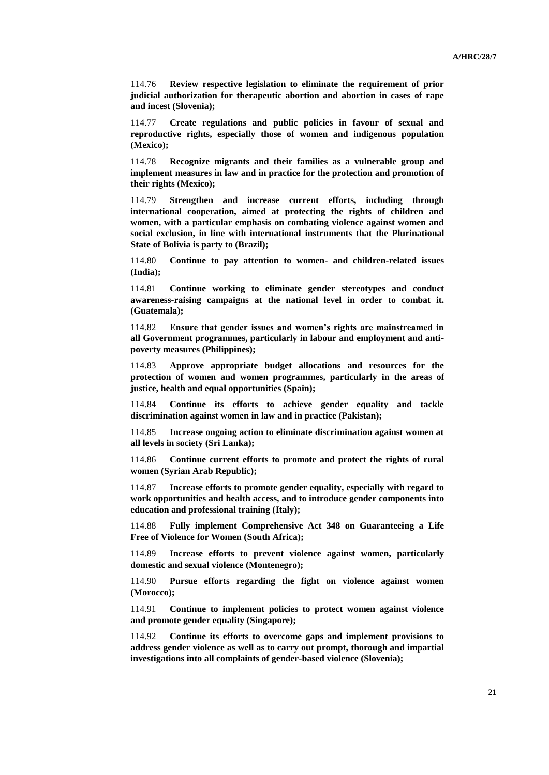114.76 **Review respective legislation to eliminate the requirement of prior judicial authorization for therapeutic abortion and abortion in cases of rape and incest (Slovenia);**

114.77 **Create regulations and public policies in favour of sexual and reproductive rights, especially those of women and indigenous population (Mexico);**

114.78 **Recognize migrants and their families as a vulnerable group and implement measures in law and in practice for the protection and promotion of their rights (Mexico);**

114.79 **Strengthen and increase current efforts, including through international cooperation, aimed at protecting the rights of children and women, with a particular emphasis on combating violence against women and social exclusion, in line with international instruments that the Plurinational State of Bolivia is party to (Brazil);**

114.80 **Continue to pay attention to women- and children-related issues (India);**

114.81 **Continue working to eliminate gender stereotypes and conduct awareness-raising campaigns at the national level in order to combat it. (Guatemala);**

114.82 **Ensure that gender issues and women's rights are mainstreamed in all Government programmes, particularly in labour and employment and antipoverty measures (Philippines);**

114.83 **Approve appropriate budget allocations and resources for the protection of women and women programmes, particularly in the areas of justice, health and equal opportunities (Spain);**

114.84 **Continue its efforts to achieve gender equality and tackle discrimination against women in law and in practice (Pakistan);**

114.85 **Increase ongoing action to eliminate discrimination against women at all levels in society (Sri Lanka);**

114.86 **Continue current efforts to promote and protect the rights of rural women (Syrian Arab Republic);**

114.87 **Increase efforts to promote gender equality, especially with regard to work opportunities and health access, and to introduce gender components into education and professional training (Italy);**

114.88 **Fully implement Comprehensive Act 348 on Guaranteeing a Life Free of Violence for Women (South Africa);**

114.89 **Increase efforts to prevent violence against women, particularly domestic and sexual violence (Montenegro);**

114.90 **Pursue efforts regarding the fight on violence against women (Morocco);**

114.91 **Continue to implement policies to protect women against violence and promote gender equality (Singapore);**

114.92 **Continue its efforts to overcome gaps and implement provisions to address gender violence as well as to carry out prompt, thorough and impartial investigations into all complaints of gender-based violence (Slovenia);**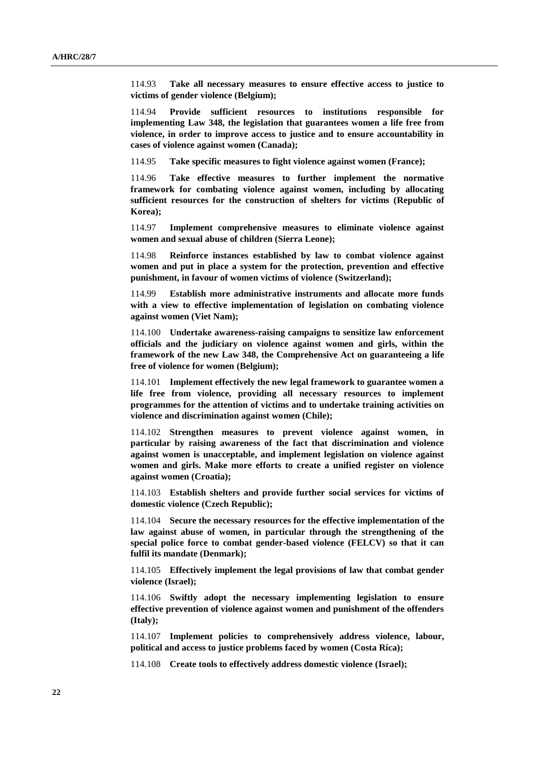114.93 **Take all necessary measures to ensure effective access to justice to victims of gender violence (Belgium);**

114.94 **Provide sufficient resources to institutions responsible for implementing Law 348, the legislation that guarantees women a life free from violence, in order to improve access to justice and to ensure accountability in cases of violence against women (Canada);**

114.95 **Take specific measures to fight violence against women (France);**

114.96 **Take effective measures to further implement the normative framework for combating violence against women, including by allocating sufficient resources for the construction of shelters for victims (Republic of Korea);**

114.97 **Implement comprehensive measures to eliminate violence against women and sexual abuse of children (Sierra Leone);**

114.98 **Reinforce instances established by law to combat violence against women and put in place a system for the protection, prevention and effective punishment, in favour of women victims of violence (Switzerland);**

114.99 **Establish more administrative instruments and allocate more funds with a view to effective implementation of legislation on combating violence against women (Viet Nam);**

114.100 **Undertake awareness-raising campaigns to sensitize law enforcement officials and the judiciary on violence against women and girls, within the framework of the new Law 348, the Comprehensive Act on guaranteeing a life free of violence for women (Belgium);**

114.101 **Implement effectively the new legal framework to guarantee women a life free from violence, providing all necessary resources to implement programmes for the attention of victims and to undertake training activities on violence and discrimination against women (Chile);**

114.102 **Strengthen measures to prevent violence against women, in particular by raising awareness of the fact that discrimination and violence against women is unacceptable, and implement legislation on violence against women and girls. Make more efforts to create a unified register on violence against women (Croatia);**

114.103 **Establish shelters and provide further social services for victims of domestic violence (Czech Republic);**

114.104 **Secure the necessary resources for the effective implementation of the law against abuse of women, in particular through the strengthening of the special police force to combat gender-based violence (FELCV) so that it can fulfil its mandate (Denmark);**

114.105 **Effectively implement the legal provisions of law that combat gender violence (Israel);**

114.106 **Swiftly adopt the necessary implementing legislation to ensure effective prevention of violence against women and punishment of the offenders (Italy);**

114.107 **Implement policies to comprehensively address violence, labour, political and access to justice problems faced by women (Costa Rica);**

114.108 **Create tools to effectively address domestic violence (Israel);**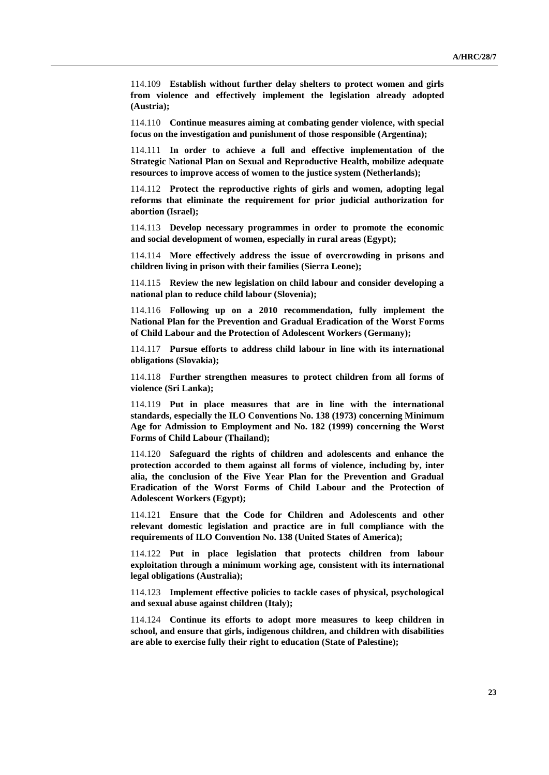114.109 **Establish without further delay shelters to protect women and girls from violence and effectively implement the legislation already adopted (Austria);**

114.110 **Continue measures aiming at combating gender violence, with special focus on the investigation and punishment of those responsible (Argentina);**

114.111 **In order to achieve a full and effective implementation of the Strategic National Plan on Sexual and Reproductive Health, mobilize adequate resources to improve access of women to the justice system (Netherlands);**

114.112 **Protect the reproductive rights of girls and women, adopting legal reforms that eliminate the requirement for prior judicial authorization for abortion (Israel);**

114.113 **Develop necessary programmes in order to promote the economic and social development of women, especially in rural areas (Egypt);**

114.114 **More effectively address the issue of overcrowding in prisons and children living in prison with their families (Sierra Leone);**

114.115 **Review the new legislation on child labour and consider developing a national plan to reduce child labour (Slovenia);**

114.116 **Following up on a 2010 recommendation, fully implement the National Plan for the Prevention and Gradual Eradication of the Worst Forms of Child Labour and the Protection of Adolescent Workers (Germany);** 

114.117 **Pursue efforts to address child labour in line with its international obligations (Slovakia);**

114.118 **Further strengthen measures to protect children from all forms of violence (Sri Lanka);**

114.119 **Put in place measures that are in line with the international standards, especially the ILO Conventions No. 138 (1973) concerning Minimum Age for Admission to Employment and No. 182 (1999) concerning the Worst Forms of Child Labour (Thailand);**

114.120 **Safeguard the rights of children and adolescents and enhance the protection accorded to them against all forms of violence, including by, inter alia, the conclusion of the Five Year Plan for the Prevention and Gradual Eradication of the Worst Forms of Child Labour and the Protection of Adolescent Workers (Egypt);**

114.121 **Ensure that the Code for Children and Adolescents and other relevant domestic legislation and practice are in full compliance with the requirements of ILO Convention No. 138 (United States of America);**

114.122 **Put in place legislation that protects children from labour exploitation through a minimum working age, consistent with its international legal obligations (Australia);**

114.123 **Implement effective policies to tackle cases of physical, psychological and sexual abuse against children (Italy);**

114.124 **Continue its efforts to adopt more measures to keep children in school, and ensure that girls, indigenous children, and children with disabilities are able to exercise fully their right to education (State of Palestine);**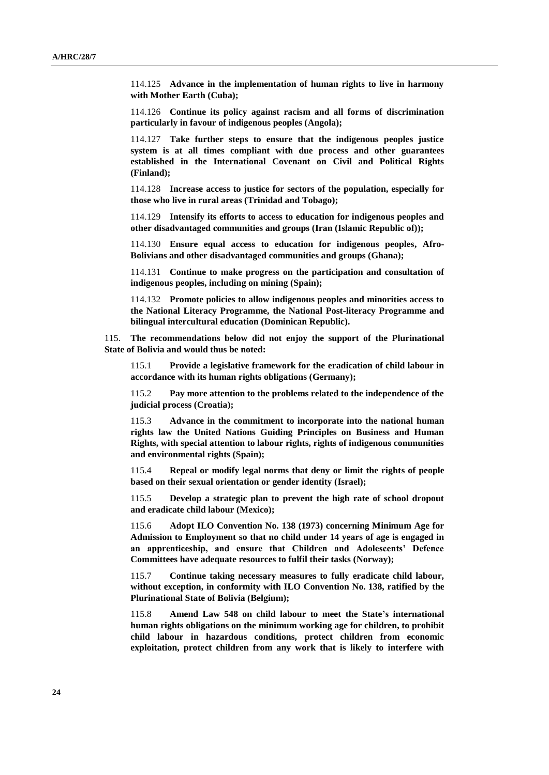114.125 **Advance in the implementation of human rights to live in harmony with Mother Earth (Cuba);**

114.126 **Continue its policy against racism and all forms of discrimination particularly in favour of indigenous peoples (Angola);**

114.127 **Take further steps to ensure that the indigenous peoples justice system is at all times compliant with due process and other guarantees established in the International Covenant on Civil and Political Rights (Finland);**

114.128 **Increase access to justice for sectors of the population, especially for those who live in rural areas (Trinidad and Tobago);**

114.129 **Intensify its efforts to access to education for indigenous peoples and other disadvantaged communities and groups (Iran (Islamic Republic of));**

114.130 **Ensure equal access to education for indigenous peoples, Afro-Bolivians and other disadvantaged communities and groups (Ghana);**

114.131 **Continue to make progress on the participation and consultation of indigenous peoples, including on mining (Spain);**

114.132 **Promote policies to allow indigenous peoples and minorities access to the National Literacy Programme, the National Post-literacy Programme and bilingual intercultural education (Dominican Republic).**

115. **The recommendations below did not enjoy the support of the Plurinational State of Bolivia and would thus be noted:**

115.1 **Provide a legislative framework for the eradication of child labour in accordance with its human rights obligations (Germany);**

115.2 **Pay more attention to the problems related to the independence of the judicial process (Croatia);**

115.3 **Advance in the commitment to incorporate into the national human rights law the United Nations Guiding Principles on Business and Human Rights, with special attention to labour rights, rights of indigenous communities and environmental rights (Spain);**

115.4 **Repeal or modify legal norms that deny or limit the rights of people based on their sexual orientation or gender identity (Israel);**

115.5 **Develop a strategic plan to prevent the high rate of school dropout and eradicate child labour (Mexico);**

115.6 **Adopt ILO Convention No. 138 (1973) concerning Minimum Age for Admission to Employment so that no child under 14 years of age is engaged in an apprenticeship, and ensure that Children and Adolescents' Defence Committees have adequate resources to fulfil their tasks (Norway);**

115.7 **Continue taking necessary measures to fully eradicate child labour, without exception, in conformity with ILO Convention No. 138, ratified by the Plurinational State of Bolivia (Belgium);**

115.8 **Amend Law 548 on child labour to meet the State's international human rights obligations on the minimum working age for children, to prohibit child labour in hazardous conditions, protect children from economic exploitation, protect children from any work that is likely to interfere with**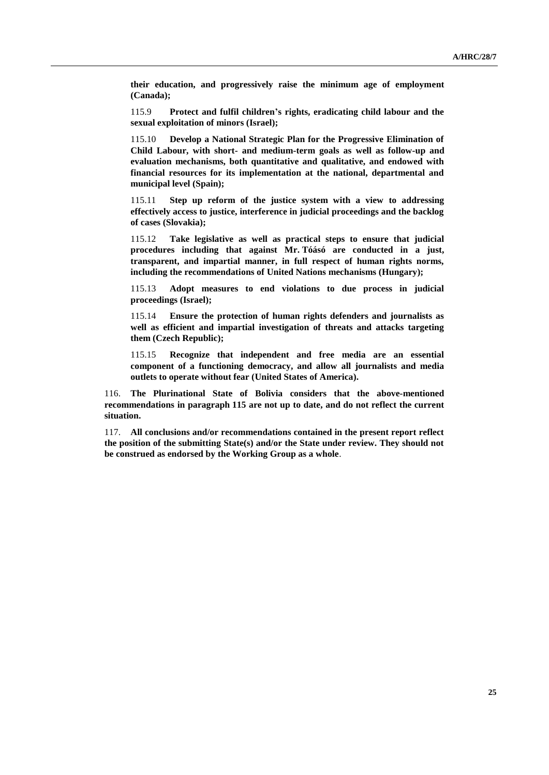**their education, and progressively raise the minimum age of employment (Canada);**

115.9 **Protect and fulfil children's rights, eradicating child labour and the sexual exploitation of minors (Israel);**

115.10 **Develop a National Strategic Plan for the Progressive Elimination of Child Labour, with short- and medium-term goals as well as follow-up and evaluation mechanisms, both quantitative and qualitative, and endowed with financial resources for its implementation at the national, departmental and municipal level (Spain);**

115.11 **Step up reform of the justice system with a view to addressing effectively access to justice, interference in judicial proceedings and the backlog of cases (Slovakia);**

115.12 **Take legislative as well as practical steps to ensure that judicial procedures including that against Mr. Tóásó are conducted in a just, transparent, and impartial manner, in full respect of human rights norms, including the recommendations of United Nations mechanisms (Hungary);**

115.13 **Adopt measures to end violations to due process in judicial proceedings (Israel);**

115.14 **Ensure the protection of human rights defenders and journalists as well as efficient and impartial investigation of threats and attacks targeting them (Czech Republic);**

115.15 **Recognize that independent and free media are an essential component of a functioning democracy, and allow all journalists and media outlets to operate without fear (United States of America).**

116. **The Plurinational State of Bolivia considers that the above-mentioned recommendations in paragraph 115 are not up to date, and do not reflect the current situation.**

117. **All conclusions and/or recommendations contained in the present report reflect the position of the submitting State(s) and/or the State under review. They should not be construed as endorsed by the Working Group as a whole**.